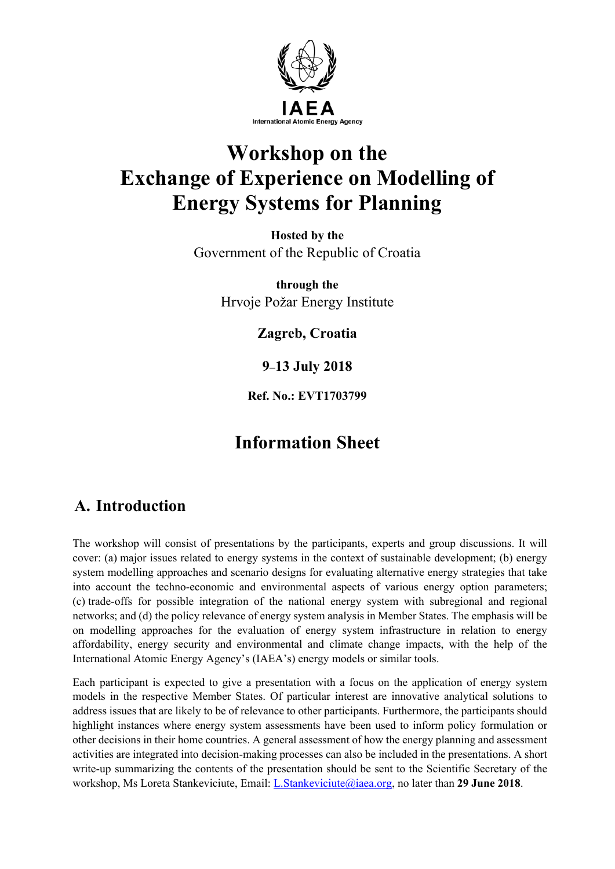

# **Workshop on the Exchange of Experience on Modelling of Energy Systems for Planning**

**Hosted by the** Government of the Republic of Croatia

> **through the** Hrvoje Požar Energy Institute

> > **Zagreb, Croatia**

**9–13 July 2018**

**Ref. No.: EVT1703799**

# **Information Sheet**

# **A. Introduction**

The workshop will consist of presentations by the participants, experts and group discussions. It will cover: (a) major issues related to energy systems in the context of sustainable development; (b) energy system modelling approaches and scenario designs for evaluating alternative energy strategies that take into account the techno-economic and environmental aspects of various energy option parameters; (c) trade-offs for possible integration of the national energy system with subregional and regional networks; and (d) the policy relevance of energy system analysis in Member States. The emphasis will be on modelling approaches for the evaluation of energy system infrastructure in relation to energy affordability, energy security and environmental and climate change impacts, with the help of the International Atomic Energy Agency's (IAEA's) energy models or similar tools.

Each participant is expected to give a presentation with a focus on the application of energy system models in the respective Member States. Of particular interest are innovative analytical solutions to address issues that are likely to be of relevance to other participants. Furthermore, the participants should highlight instances where energy system assessments have been used to inform policy formulation or other decisions in their home countries. A general assessment of how the energy planning and assessment activities are integrated into decision-making processes can also be included in the presentations. A short write-up summarizing the contents of the presentation should be sent to the Scientific Secretary of the workshop, Ms Loreta Stankeviciute, Email: L.Stankeviciute@iaea.org, no later than **29 June 2018**.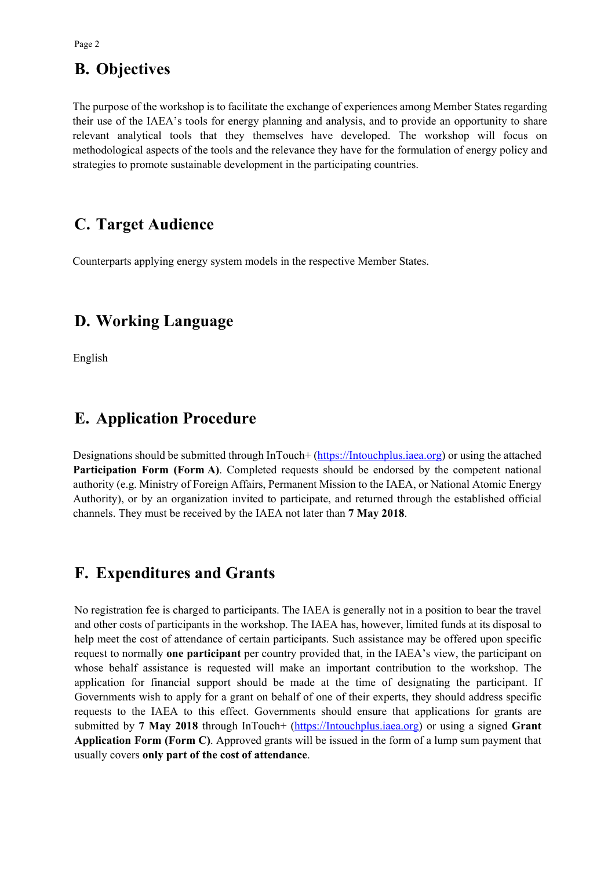# **B. Objectives**

The purpose of the workshop is to facilitate the exchange of experiences among Member States regarding their use of the IAEA's tools for energy planning and analysis, and to provide an opportunity to share relevant analytical tools that they themselves have developed. The workshop will focus on methodological aspects of the tools and the relevance they have for the formulation of energy policy and strategies to promote sustainable development in the participating countries.

# **C. Target Audience**

Counterparts applying energy system models in the respective Member States.

# **D. Working Language**

English

# **E. Application Procedure**

Designations should be submitted through InTouch+ (https://Intouchplus.iaea.org) or using the attached **Participation Form (Form A)**. Completed requests should be endorsed by the competent national authority (e.g. Ministry of Foreign Affairs, Permanent Mission to the IAEA, or National Atomic Energy Authority), or by an organization invited to participate, and returned through the established official channels. They must be received by the IAEA not later than **7 May 2018**.

# **F. Expenditures and Grants**

No registration fee is charged to participants. The IAEA is generally not in a position to bear the travel and other costs of participants in the workshop. The IAEA has, however, limited funds at its disposal to help meet the cost of attendance of certain participants. Such assistance may be offered upon specific request to normally **one participant** per country provided that, in the IAEA's view, the participant on whose behalf assistance is requested will make an important contribution to the workshop. The application for financial support should be made at the time of designating the participant. If Governments wish to apply for a grant on behalf of one of their experts, they should address specific requests to the IAEA to this effect. Governments should ensure that applications for grants are submitted by **7 May 2018** through InTouch+ (https://Intouchplus.iaea.org) or using a signed **Grant Application Form (Form C)**. Approved grants will be issued in the form of a lump sum payment that usually covers **only part of the cost of attendance**.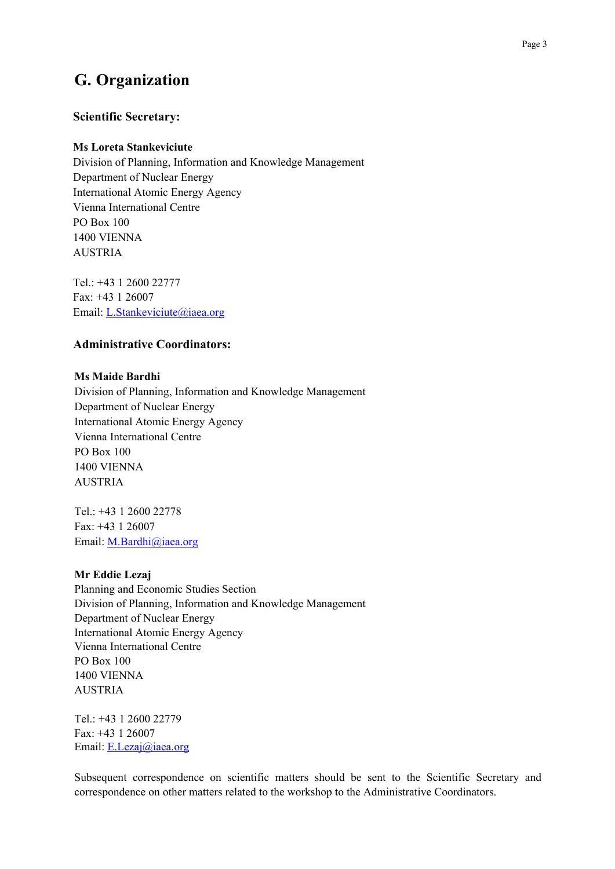# **G. Organization**

## **Scientific Secretary:**

### **Ms Loreta Stankeviciute**

Division of Planning, Information and Knowledge Management Department of Nuclear Energy International Atomic Energy Agency Vienna International Centre PO Box 100 1400 VIENNA AUSTRIA

Tel.: +43 1 2600 22777 Fax: +43 1 26007 Email: L.Stankeviciute@iaea.org

# **Administrative Coordinators:**

#### **Ms Maide Bardhi**

Division of Planning, Information and Knowledge Management Department of Nuclear Energy International Atomic Energy Agency Vienna International Centre PO Box 100 1400 VIENNA AUSTRIA

Tel.: +43 1 2600 22778 Fax: +43 1 26007 Email: M.Bardhi@iaea.org

#### **Mr Eddie Lezaj**

Planning and Economic Studies Section Division of Planning, Information and Knowledge Management Department of Nuclear Energy International Atomic Energy Agency Vienna International Centre PO Box 100 1400 VIENNA AUSTRIA

Tel.: +43 1 2600 22779 Fax: +43 1 26007 Email: E.Lezaj@iaea.org

Subsequent correspondence on scientific matters should be sent to the Scientific Secretary and correspondence on other matters related to the workshop to the Administrative Coordinators.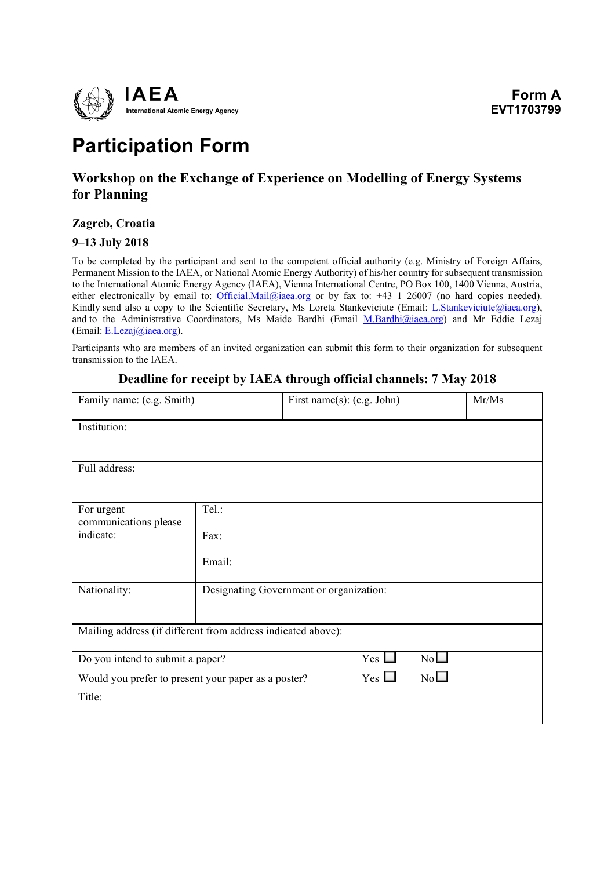

# **Participation Form**

# **Workshop on the Exchange of Experience on Modelling of Energy Systems for Planning**

## **Zagreb, Croatia**

## **9**–**13 July 2018**

To be completed by the participant and sent to the competent official authority (e.g. Ministry of Foreign Affairs, Permanent Mission to the IAEA, or National Atomic Energy Authority) of his/her country for subsequent transmission to the International Atomic Energy Agency (IAEA), Vienna International Centre, PO Box 100, 1400 Vienna, Austria, either electronically by email to: Official.Mail@iaea.org or by fax to: +43 1 26007 (no hard copies needed). Kindly send also a copy to the Scientific Secretary, Ms Loreta Stankeviciute (Email: *L.Stankeviciute@iaea.org*), and to the Administrative Coordinators, Ms Maide Bardhi (Email M.Bardhi@iaea.org) and Mr Eddie Lezaj (Email:  $E. Lezaj@iaea.org$ ).

Participants who are members of an invited organization can submit this form to their organization for subsequent transmission to the IAEA.

| Family name: (e.g. Smith)                                    |                                         | First name(s): (e.g. John) |            |    | Mr/Ms |
|--------------------------------------------------------------|-----------------------------------------|----------------------------|------------|----|-------|
| Institution:                                                 |                                         |                            |            |    |       |
| Full address:                                                |                                         |                            |            |    |       |
| For urgent<br>communications please                          | Tel.:                                   |                            |            |    |       |
| indicate:                                                    | Fax:                                    |                            |            |    |       |
|                                                              | Email:                                  |                            |            |    |       |
| Nationality:                                                 | Designating Government or organization: |                            |            |    |       |
| Mailing address (if different from address indicated above): |                                         |                            |            |    |       |
| Do you intend to submit a paper?                             |                                         |                            | $Yes \Box$ | No |       |
| Would you prefer to present your paper as a poster?          |                                         |                            | $Yes \Box$ | No |       |
| Title:                                                       |                                         |                            |            |    |       |

## **Deadline for receipt by IAEA through official channels: 7 May 2018**